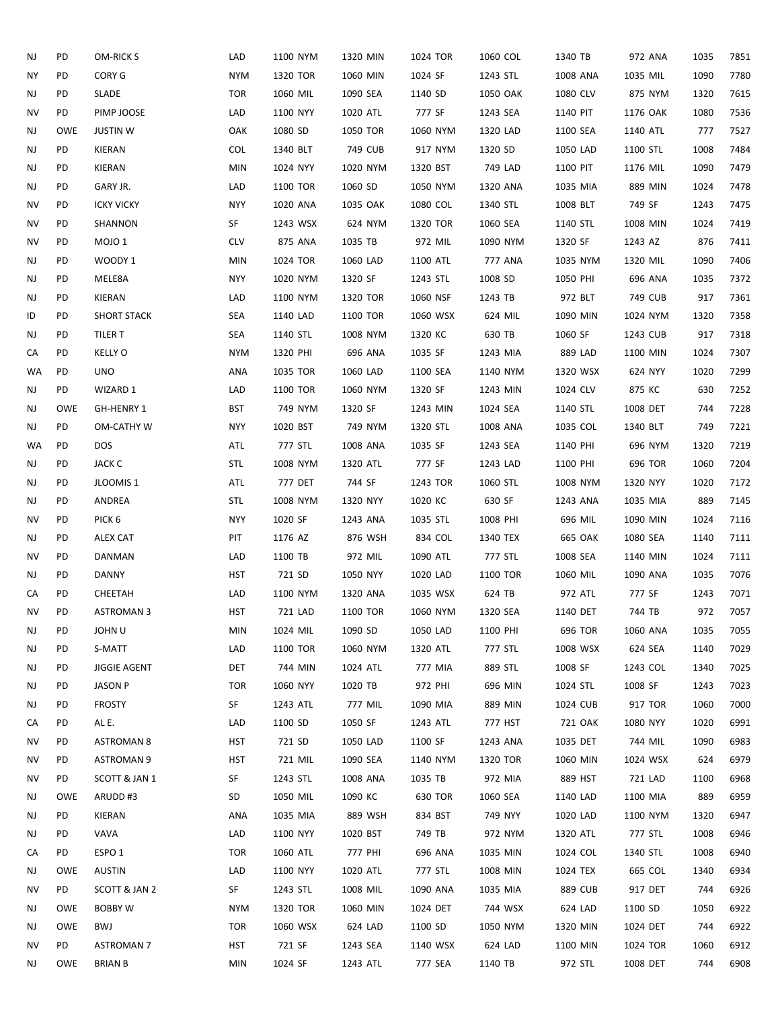| NJ            | PD         | OM-RICK S           | LAD        | 1100 NYM | 1320 MIN | 1024 TOR | 1060 COL | 1340 TB  | 972 ANA  | 1035 | 7851 |
|---------------|------------|---------------------|------------|----------|----------|----------|----------|----------|----------|------|------|
| ΝY            | PD         | CORY G              | <b>NYM</b> | 1320 TOR | 1060 MIN | 1024 SF  | 1243 STL | 1008 ANA | 1035 MIL | 1090 | 7780 |
| NJ            | PD         | SLADE               | <b>TOR</b> | 1060 MIL | 1090 SEA | 1140 SD  | 1050 OAK | 1080 CLV | 875 NYM  | 1320 | 7615 |
| NV            | <b>PD</b>  | PIMP JOOSE          | LAD        | 1100 NYY | 1020 ATL | 777 SF   | 1243 SEA | 1140 PIT | 1176 OAK | 1080 | 7536 |
| NJ            | <b>OWE</b> | <b>JUSTIN W</b>     | OAK        | 1080 SD  | 1050 TOR | 1060 NYM | 1320 LAD | 1100 SEA | 1140 ATL | 777  | 7527 |
| NJ            | PD         | KIERAN              | <b>COL</b> | 1340 BLT | 749 CUB  | 917 NYM  | 1320 SD  | 1050 LAD | 1100 STL | 1008 | 7484 |
| NJ            | PD         | KIERAN              | <b>MIN</b> | 1024 NYY | 1020 NYM | 1320 BST | 749 LAD  | 1100 PIT | 1176 MIL | 1090 | 7479 |
| NJ            | PD         | GARY JR.            | LAD        | 1100 TOR | 1060 SD  | 1050 NYM | 1320 ANA | 1035 MIA | 889 MIN  | 1024 | 7478 |
| NV            | PD         | <b>ICKY VICKY</b>   | <b>NYY</b> | 1020 ANA | 1035 OAK | 1080 COL | 1340 STL | 1008 BLT | 749 SF   | 1243 | 7475 |
| ΝV            | PD         | SHANNON             | SF         | 1243 WSX | 624 NYM  | 1320 TOR | 1060 SEA | 1140 STL | 1008 MIN | 1024 | 7419 |
| NV            | PD         | MOJO 1              | <b>CLV</b> | 875 ANA  | 1035 TB  | 972 MIL  | 1090 NYM | 1320 SF  | 1243 AZ  | 876  | 7411 |
| NJ            | PD         | WOODY 1             | <b>MIN</b> | 1024 TOR | 1060 LAD | 1100 ATL | 777 ANA  | 1035 NYM | 1320 MIL | 1090 | 7406 |
| NJ            | PD         | MELE8A              | <b>NYY</b> | 1020 NYM | 1320 SF  | 1243 STL | 1008 SD  | 1050 PHI | 696 ANA  | 1035 | 7372 |
| NJ            | PD         | KIERAN              | LAD        | 1100 NYM | 1320 TOR | 1060 NSF | 1243 TB  | 972 BLT  | 749 CUB  | 917  | 7361 |
| ID            | PD         | <b>SHORT STACK</b>  | <b>SEA</b> | 1140 LAD | 1100 TOR | 1060 WSX | 624 MIL  | 1090 MIN | 1024 NYM | 1320 | 7358 |
| NJ            | PD         | TILER T             | <b>SEA</b> | 1140 STL | 1008 NYM | 1320 KC  | 630 TB   | 1060 SF  | 1243 CUB | 917  | 7318 |
| CA            | PD         | <b>KELLY O</b>      | <b>NYM</b> | 1320 PHI | 696 ANA  | 1035 SF  | 1243 MIA | 889 LAD  | 1100 MIN | 1024 | 7307 |
| WA            | PD         | <b>UNO</b>          | ANA        | 1035 TOR | 1060 LAD | 1100 SEA | 1140 NYM | 1320 WSX | 624 NYY  | 1020 | 7299 |
| NJ            | PD         | WIZARD 1            | LAD        | 1100 TOR | 1060 NYM | 1320 SF  | 1243 MIN | 1024 CLV | 875 KC   | 630  | 7252 |
| NJ            | <b>OWE</b> | GH-HENRY 1          | <b>BST</b> | 749 NYM  | 1320 SF  | 1243 MIN | 1024 SEA | 1140 STL | 1008 DET | 744  | 7228 |
| NJ            | PD         | OM-CATHY W          | <b>NYY</b> | 1020 BST | 749 NYM  | 1320 STL | 1008 ANA | 1035 COL | 1340 BLT | 749  | 7221 |
| WA            | PD         | <b>DOS</b>          | ATL        | 777 STL  | 1008 ANA | 1035 SF  | 1243 SEA | 1140 PHI | 696 NYM  | 1320 | 7219 |
| NJ            | PD         | <b>JACK C</b>       | STL        | 1008 NYM | 1320 ATL | 777 SF   | 1243 LAD | 1100 PHI | 696 TOR  | 1060 | 7204 |
| NJ            | PD         | JLOOMIS 1           | ATL        | 777 DET  | 744 SF   | 1243 TOR | 1060 STL | 1008 NYM | 1320 NYY | 1020 | 7172 |
| NJ            | PD         | ANDREA              | <b>STL</b> | 1008 NYM | 1320 NYY | 1020 KC  | 630 SF   | 1243 ANA | 1035 MIA | 889  | 7145 |
| NV            | PD         | PICK <sub>6</sub>   | <b>NYY</b> | 1020 SF  | 1243 ANA | 1035 STL | 1008 PHI | 696 MIL  | 1090 MIN | 1024 | 7116 |
| NJ            | PD         | <b>ALEX CAT</b>     | PIT        | 1176 AZ  | 876 WSH  | 834 COL  | 1340 TEX | 665 OAK  | 1080 SEA | 1140 | 7111 |
| NV            | PD         | DANMAN              | LAD        | 1100 TB  | 972 MIL  | 1090 ATL | 777 STL  | 1008 SEA | 1140 MIN | 1024 | 7111 |
| $\mathsf{NJ}$ | PD         | <b>DANNY</b>        | <b>HST</b> | 721 SD   | 1050 NYY | 1020 LAD | 1100 TOR | 1060 MIL | 1090 ANA | 1035 | 7076 |
| СA            | PD         | CHEETAH             | LAD        | 1100 NYM | 1320 ANA | 1035 WSX | 624 TB   | 972 ATL  | 777 SF   | 1243 | 7071 |
| ΝV            | PD         | <b>ASTROMAN 3</b>   | <b>HST</b> | 721 LAD  | 1100 TOR | 1060 NYM | 1320 SEA | 1140 DET | 744 TB   | 972  | 7057 |
| NJ            | PD         | <b>JOHNU</b>        | <b>MIN</b> | 1024 MIL | 1090 SD  | 1050 LAD | 1100 PHI | 696 TOR  | 1060 ANA | 1035 | 7055 |
| NJ            | PD         | S-MATT              | LAD        | 1100 TOR | 1060 NYM | 1320 ATL | 777 STL  | 1008 WSX | 624 SEA  | 1140 | 7029 |
| NJ            | PD         | <b>JIGGIE AGENT</b> | DET        | 744 MIN  | 1024 ATL | 777 MIA  | 889 STL  | 1008 SF  | 1243 COL | 1340 | 7025 |
| NJ            | PD         | <b>JASON P</b>      | <b>TOR</b> | 1060 NYY | 1020 TB  | 972 PHI  | 696 MIN  | 1024 STL | 1008 SF  | 1243 | 7023 |
| NJ            | PD         | <b>FROSTY</b>       | SF         | 1243 ATL | 777 MIL  | 1090 MIA | 889 MIN  | 1024 CUB | 917 TOR  | 1060 | 7000 |
| СA            | PD         | AL E.               | LAD        | 1100 SD  | 1050 SF  | 1243 ATL | 777 HST  | 721 OAK  | 1080 NYY | 1020 | 6991 |
| ΝV            | PD         | <b>ASTROMAN 8</b>   | HST        | 721 SD   | 1050 LAD | 1100 SF  | 1243 ANA | 1035 DET | 744 MIL  | 1090 | 6983 |
| ΝV            | PD         | <b>ASTROMAN 9</b>   | HST        | 721 MIL  | 1090 SEA | 1140 NYM | 1320 TOR | 1060 MIN | 1024 WSX | 624  | 6979 |
| ΝV            | PD         | SCOTT & JAN 1       | SF         | 1243 STL | 1008 ANA | 1035 TB  | 972 MIA  | 889 HST  | 721 LAD  | 1100 | 6968 |
| NJ            | OWE        | ARUDD#3             | SD         | 1050 MIL | 1090 KC  | 630 TOR  | 1060 SEA | 1140 LAD | 1100 MIA | 889  | 6959 |
| NJ            | PD         | KIERAN              | ANA        | 1035 MIA | 889 WSH  | 834 BST  | 749 NYY  | 1020 LAD | 1100 NYM | 1320 | 6947 |
| NJ            | PD         | VAVA                | LAD        | 1100 NYY | 1020 BST | 749 TB   | 972 NYM  | 1320 ATL | 777 STL  | 1008 | 6946 |
| CA            | PD         | ESPO <sub>1</sub>   | <b>TOR</b> | 1060 ATL | 777 PHI  | 696 ANA  | 1035 MIN | 1024 COL | 1340 STL | 1008 | 6940 |
| NJ            | OWE        | AUSTIN              | LAD        | 1100 NYY | 1020 ATL | 777 STL  | 1008 MIN | 1024 TEX | 665 COL  | 1340 | 6934 |
| ΝV            | PD         | SCOTT & JAN 2       | SF         | 1243 STL | 1008 MIL | 1090 ANA | 1035 MIA | 889 CUB  | 917 DET  | 744  | 6926 |
| NJ            | OWE        | <b>BOBBY W</b>      | <b>NYM</b> | 1320 TOR | 1060 MIN | 1024 DET | 744 WSX  | 624 LAD  | 1100 SD  | 1050 | 6922 |
| NJ            | <b>OWE</b> | <b>BWJ</b>          | <b>TOR</b> | 1060 WSX | 624 LAD  | 1100 SD  | 1050 NYM | 1320 MIN | 1024 DET | 744  | 6922 |
| ΝV            | PD         | <b>ASTROMAN 7</b>   | HST        | 721 SF   | 1243 SEA | 1140 WSX | 624 LAD  | 1100 MIN | 1024 TOR | 1060 | 6912 |
| NJ            | OWE        | <b>BRIAN B</b>      | <b>MIN</b> | 1024 SF  | 1243 ATL | 777 SEA  | 1140 TB  | 972 STL  | 1008 DET | 744  | 6908 |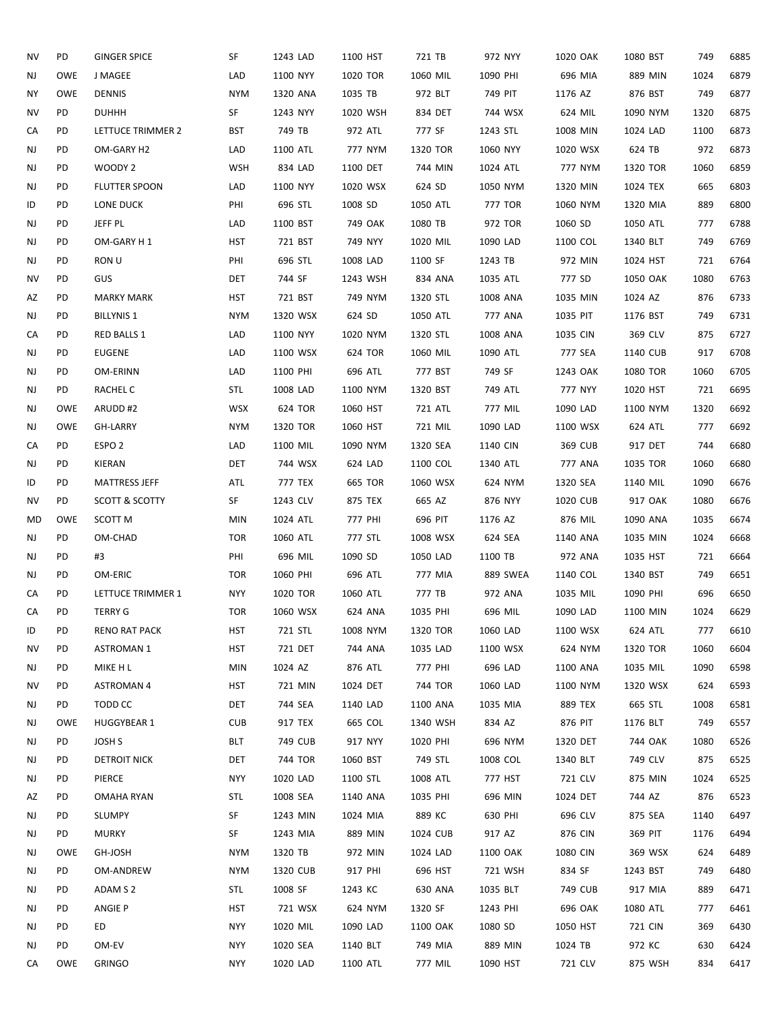| NV        | PD         | <b>GINGER SPICE</b>  | SF         | 1243 LAD | 1100 HST | 721 TB   | 972 NYY  | 1020 OAK | 1080 BST | 749  | 6885 |
|-----------|------------|----------------------|------------|----------|----------|----------|----------|----------|----------|------|------|
| NJ        | OWE        | J MAGEE              | LAD        | 1100 NYY | 1020 TOR | 1060 MIL | 1090 PHI | 696 MIA  | 889 MIN  | 1024 | 6879 |
| ΝY        | <b>OWE</b> | <b>DENNIS</b>        | <b>NYM</b> | 1320 ANA | 1035 TB  | 972 BLT  | 749 PIT  | 1176 AZ  | 876 BST  | 749  | 6877 |
| NV        | PD         | <b>DUHHH</b>         | SF         | 1243 NYY | 1020 WSH | 834 DET  | 744 WSX  | 624 MIL  | 1090 NYM | 1320 | 6875 |
| CA        | PD         | LETTUCE TRIMMER 2    | BST        | 749 TB   | 972 ATL  | 777 SF   | 1243 STL | 1008 MIN | 1024 LAD | 1100 | 6873 |
| NJ        | PD         | OM-GARY H2           | LAD        | 1100 ATL | 777 NYM  | 1320 TOR | 1060 NYY | 1020 WSX | 624 TB   | 972  | 6873 |
| NJ        | PD         | WOODY 2              | <b>WSH</b> | 834 LAD  | 1100 DET | 744 MIN  | 1024 ATL | 777 NYM  | 1320 TOR | 1060 | 6859 |
| NJ        | PD         | FLUTTER SPOON        | LAD        | 1100 NYY | 1020 WSX | 624 SD   | 1050 NYM | 1320 MIN | 1024 TEX | 665  | 6803 |
| ID        | PD         | LONE DUCK            | PHI        | 696 STL  | 1008 SD  | 1050 ATL | 777 TOR  | 1060 NYM | 1320 MIA | 889  | 6800 |
| NJ        | PD         | JEFF PL              | LAD        | 1100 BST | 749 OAK  | 1080 TB  | 972 TOR  | 1060 SD  | 1050 ATL | 777  | 6788 |
| NJ        | PD         | OM-GARY H1           | <b>HST</b> | 721 BST  | 749 NYY  | 1020 MIL | 1090 LAD | 1100 COL | 1340 BLT | 749  | 6769 |
| NJ        | PD         | RON U                | PHI        | 696 STL  | 1008 LAD | 1100 SF  | 1243 TB  | 972 MIN  | 1024 HST | 721  | 6764 |
| NV        | PD         | <b>GUS</b>           | <b>DET</b> | 744 SF   | 1243 WSH | 834 ANA  | 1035 ATL | 777 SD   | 1050 OAK | 1080 | 6763 |
| AZ        | PD         | <b>MARKY MARK</b>    | HST        | 721 BST  | 749 NYM  | 1320 STL | 1008 ANA | 1035 MIN | 1024 AZ  | 876  | 6733 |
| NJ        | PD         | <b>BILLYNIS 1</b>    | <b>NYM</b> | 1320 WSX | 624 SD   | 1050 ATL | 777 ANA  | 1035 PIT | 1176 BST | 749  | 6731 |
| CA        | PD         | RED BALLS 1          | LAD        | 1100 NYY | 1020 NYM | 1320 STL | 1008 ANA | 1035 CIN | 369 CLV  | 875  | 6727 |
| NJ        | PD         | EUGENE               | LAD        | 1100 WSX | 624 TOR  | 1060 MIL | 1090 ATL | 777 SEA  | 1140 CUB | 917  | 6708 |
| NJ        | PD         | OM-ERINN             | LAD        | 1100 PHI | 696 ATL  | 777 BST  | 749 SF   | 1243 OAK | 1080 TOR | 1060 | 6705 |
| NJ        | PD         | RACHEL C             | <b>STL</b> | 1008 LAD | 1100 NYM | 1320 BST | 749 ATL  | 777 NYY  | 1020 HST | 721  | 6695 |
| NJ        | <b>OWE</b> | ARUDD#2              | <b>WSX</b> | 624 TOR  | 1060 HST | 721 ATL  | 777 MIL  | 1090 LAD | 1100 NYM | 1320 | 6692 |
| NJ        | OWE        | GH-LARRY             | <b>NYM</b> | 1320 TOR | 1060 HST | 721 MIL  | 1090 LAD | 1100 WSX | 624 ATL  | 777  | 6692 |
| CA        | PD         | ESPO <sub>2</sub>    | LAD        | 1100 MIL | 1090 NYM | 1320 SEA | 1140 CIN | 369 CUB  | 917 DET  | 744  | 6680 |
| NJ        | PD         | KIERAN               | DET        | 744 WSX  | 624 LAD  | 1100 COL | 1340 ATL | 777 ANA  | 1035 TOR | 1060 | 6680 |
| ID        | PD         | <b>MATTRESS JEFF</b> | ATL        | 777 TEX  | 665 TOR  | 1060 WSX | 624 NYM  | 1320 SEA | 1140 MIL | 1090 | 6676 |
| NV        | PD         | SCOTT & SCOTTY       | SF         | 1243 CLV | 875 TEX  | 665 AZ   | 876 NYY  | 1020 CUB | 917 OAK  | 1080 | 6676 |
| MD        | OWE        | SCOTT <sub>M</sub>   | <b>MIN</b> | 1024 ATL | 777 PHI  | 696 PIT  | 1176 AZ  | 876 MIL  | 1090 ANA | 1035 | 6674 |
| NJ        | PD         | OM-CHAD              | <b>TOR</b> | 1060 ATL | 777 STL  | 1008 WSX | 624 SEA  | 1140 ANA | 1035 MIN | 1024 | 6668 |
| NJ        | PD         | #3                   | PHI        | 696 MIL  | 1090 SD  | 1050 LAD | 1100 TB  | 972 ANA  | 1035 HST | 721  | 6664 |
| NJ        | PD         | OM-ERIC              | <b>TOR</b> | 1060 PHI | 696 ATL  | 777 MIA  | 889 SWEA | 1140 COL | 1340 BST | 749  | 6651 |
| CA        | PD         | LETTUCE TRIMMER 1    | <b>NYY</b> | 1020 TOR | 1060 ATL | 777 TB   | 972 ANA  | 1035 MIL | 1090 PHI | 696  | 6650 |
| СA        | PD         | <b>TERRY G</b>       | <b>TOR</b> | 1060 WSX | 624 ANA  | 1035 PHI | 696 MIL  | 1090 LAD | 1100 MIN | 1024 | 6629 |
| ID        | PD         | <b>RENO RAT PACK</b> | <b>HST</b> | 721 STL  | 1008 NYM | 1320 TOR | 1060 LAD | 1100 WSX | 624 ATL  | 777  | 6610 |
| NV        | PD         | <b>ASTROMAN 1</b>    | HST        | 721 DET  | 744 ANA  | 1035 LAD | 1100 WSX | 624 NYM  | 1320 TOR | 1060 | 6604 |
| NJ        | PD         | MIKE H L             | <b>MIN</b> | 1024 AZ  | 876 ATL  | 777 PHI  | 696 LAD  | 1100 ANA | 1035 MIL | 1090 | 6598 |
| <b>NV</b> | PD         | <b>ASTROMAN 4</b>    | HST        | 721 MIN  | 1024 DET | 744 TOR  | 1060 LAD | 1100 NYM | 1320 WSX | 624  | 6593 |
| NJ        | PD         | TODD CC              | DET        | 744 SEA  | 1140 LAD | 1100 ANA | 1035 MIA | 889 TEX  | 665 STL  | 1008 | 6581 |
| NJ        | <b>OWE</b> | <b>HUGGYBEAR 1</b>   | <b>CUB</b> | 917 TEX  | 665 COL  | 1340 WSH | 834 AZ   | 876 PIT  | 1176 BLT | 749  | 6557 |
| NJ        | PD         | JOSH S               | BLT        | 749 CUB  | 917 NYY  | 1020 PHI | 696 NYM  | 1320 DET | 744 OAK  | 1080 | 6526 |
| NJ        | PD         | DETROIT NICK         | DET        | 744 TOR  | 1060 BST | 749 STL  | 1008 COL | 1340 BLT | 749 CLV  | 875  | 6525 |
| NJ        | PD         | PIERCE               | NYY        | 1020 LAD | 1100 STL | 1008 ATL | 777 HST  | 721 CLV  | 875 MIN  | 1024 | 6525 |
| AZ        | PD         | OMAHA RYAN           | <b>STL</b> | 1008 SEA | 1140 ANA | 1035 PHI | 696 MIN  | 1024 DET | 744 AZ   | 876  | 6523 |
| NJ        | PD.        | <b>SLUMPY</b>        | SF         | 1243 MIN | 1024 MIA | 889 KC   | 630 PHI  | 696 CLV  | 875 SEA  | 1140 | 6497 |
| NJ        | PD.        | <b>MURKY</b>         | SF         | 1243 MIA | 889 MIN  | 1024 CUB | 917 AZ   | 876 CIN  | 369 PIT  | 1176 | 6494 |
| NJ        | <b>OWE</b> | GH-JOSH              | <b>NYM</b> | 1320 TB  | 972 MIN  | 1024 LAD | 1100 OAK | 1080 CIN | 369 WSX  | 624  | 6489 |
| NJ        | PD.        | OM-ANDREW            | <b>NYM</b> | 1320 CUB | 917 PHI  | 696 HST  | 721 WSH  | 834 SF   | 1243 BST | 749  | 6480 |
| NJ        | PD         | ADAM S 2             | <b>STL</b> | 1008 SF  | 1243 KC  | 630 ANA  | 1035 BLT | 749 CUB  | 917 MIA  | 889  | 6471 |
| NJ        | PD         | ANGIE P              | HST        | 721 WSX  | 624 NYM  | 1320 SF  | 1243 PHI | 696 OAK  | 1080 ATL | 777  | 6461 |
| NJ        | PD         | ED.                  | NYY        | 1020 MIL | 1090 LAD | 1100 OAK | 1080 SD  | 1050 HST | 721 CIN  | 369  | 6430 |
| NJ        | PD         | OM-EV                | <b>NYY</b> | 1020 SEA | 1140 BLT | 749 MIA  | 889 MIN  | 1024 TB  | 972 KC   | 630  | 6424 |
| CA        | OWE        | <b>GRINGO</b>        | <b>NYY</b> | 1020 LAD | 1100 ATL | 777 MIL  | 1090 HST | 721 CLV  | 875 WSH  | 834  | 6417 |